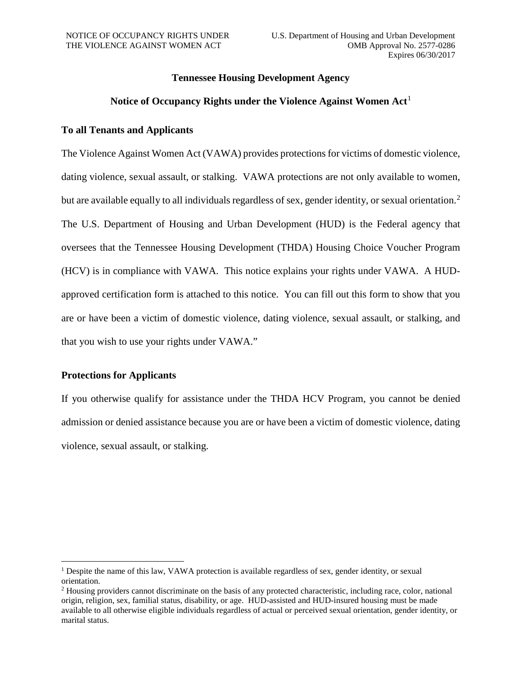#### **Tennessee Housing Development Agency**

#### **Notice of Occupancy Rights under the Violence Against Women Act**[1](#page-0-0)

#### **To all Tenants and Applicants**

The Violence Against Women Act (VAWA) provides protections for victims of domestic violence, dating violence, sexual assault, or stalking. VAWA protections are not only available to women, but are available equally to all individuals regardless of sex, gender identity, or sexual orientation.<sup>[2](#page-0-1)</sup> The U.S. Department of Housing and Urban Development (HUD) is the Federal agency that oversees that the Tennessee Housing Development (THDA) Housing Choice Voucher Program (HCV) is in compliance with VAWA. This notice explains your rights under VAWA. A HUDapproved certification form is attached to this notice. You can fill out this form to show that you are or have been a victim of domestic violence, dating violence, sexual assault, or stalking, and that you wish to use your rights under VAWA."

#### **Protections for Applicants**

If you otherwise qualify for assistance under the THDA HCV Program, you cannot be denied admission or denied assistance because you are or have been a victim of domestic violence, dating violence, sexual assault, or stalking.

<span id="page-0-0"></span><sup>&</sup>lt;sup>1</sup> Despite the name of this law, VAWA protection is available regardless of sex, gender identity, or sexual orientation.

<span id="page-0-1"></span><sup>&</sup>lt;sup>2</sup> Housing providers cannot discriminate on the basis of any protected characteristic, including race, color, national origin, religion, sex, familial status, disability, or age. HUD-assisted and HUD-insured housing must be made available to all otherwise eligible individuals regardless of actual or perceived sexual orientation, gender identity, or marital status.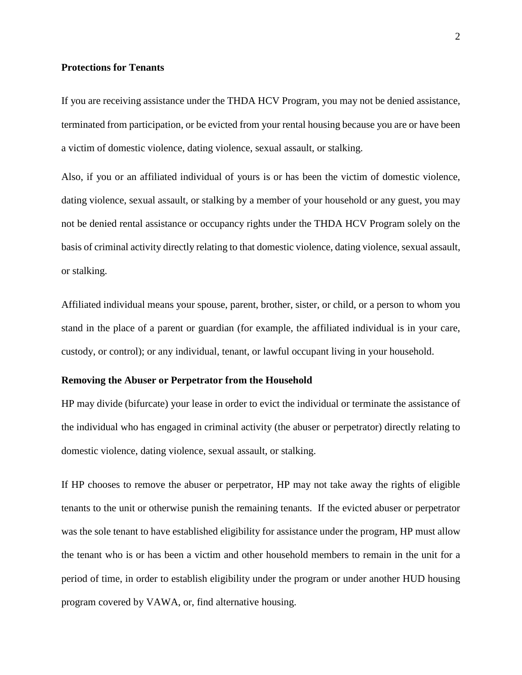#### **Protections for Tenants**

If you are receiving assistance under the THDA HCV Program, you may not be denied assistance, terminated from participation, or be evicted from your rental housing because you are or have been a victim of domestic violence, dating violence, sexual assault, or stalking.

Also, if you or an affiliated individual of yours is or has been the victim of domestic violence, dating violence, sexual assault, or stalking by a member of your household or any guest, you may not be denied rental assistance or occupancy rights under the THDA HCV Program solely on the basis of criminal activity directly relating to that domestic violence, dating violence, sexual assault, or stalking.

Affiliated individual means your spouse, parent, brother, sister, or child, or a person to whom you stand in the place of a parent or guardian (for example, the affiliated individual is in your care, custody, or control); or any individual, tenant, or lawful occupant living in your household.

#### **Removing the Abuser or Perpetrator from the Household**

HP may divide (bifurcate) your lease in order to evict the individual or terminate the assistance of the individual who has engaged in criminal activity (the abuser or perpetrator) directly relating to domestic violence, dating violence, sexual assault, or stalking.

If HP chooses to remove the abuser or perpetrator, HP may not take away the rights of eligible tenants to the unit or otherwise punish the remaining tenants. If the evicted abuser or perpetrator was the sole tenant to have established eligibility for assistance under the program, HP must allow the tenant who is or has been a victim and other household members to remain in the unit for a period of time, in order to establish eligibility under the program or under another HUD housing program covered by VAWA, or, find alternative housing.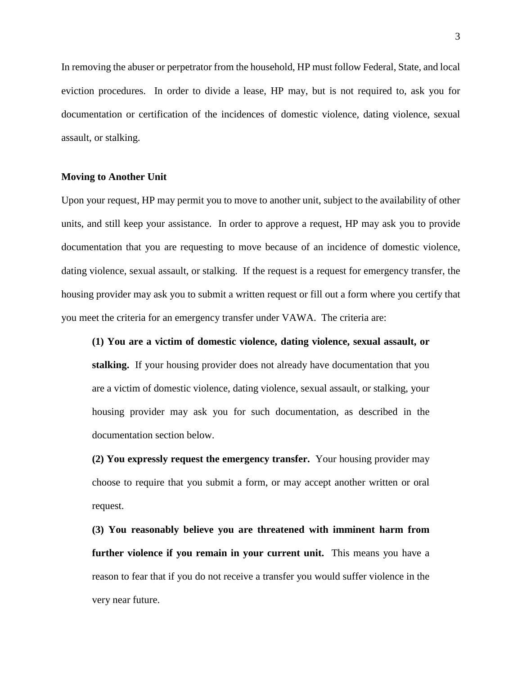In removing the abuser or perpetrator from the household, HP must follow Federal, State, and local eviction procedures. In order to divide a lease, HP may, but is not required to, ask you for documentation or certification of the incidences of domestic violence, dating violence, sexual assault, or stalking.

#### **Moving to Another Unit**

Upon your request, HP may permit you to move to another unit, subject to the availability of other units, and still keep your assistance. In order to approve a request, HP may ask you to provide documentation that you are requesting to move because of an incidence of domestic violence, dating violence, sexual assault, or stalking. If the request is a request for emergency transfer, the housing provider may ask you to submit a written request or fill out a form where you certify that you meet the criteria for an emergency transfer under VAWA. The criteria are:

**(1) You are a victim of domestic violence, dating violence, sexual assault, or stalking.** If your housing provider does not already have documentation that you are a victim of domestic violence, dating violence, sexual assault, or stalking, your housing provider may ask you for such documentation, as described in the documentation section below.

**(2) You expressly request the emergency transfer.** Your housing provider may choose to require that you submit a form, or may accept another written or oral request.

**(3) You reasonably believe you are threatened with imminent harm from further violence if you remain in your current unit.** This means you have a reason to fear that if you do not receive a transfer you would suffer violence in the very near future.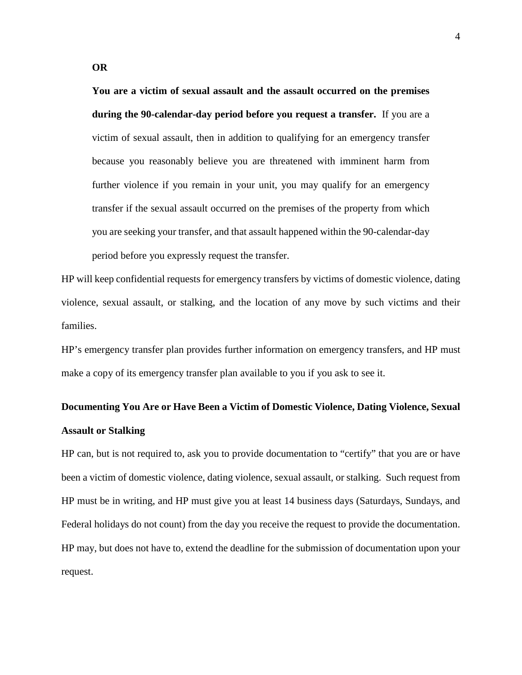**You are a victim of sexual assault and the assault occurred on the premises during the 90-calendar-day period before you request a transfer.** If you are a victim of sexual assault, then in addition to qualifying for an emergency transfer because you reasonably believe you are threatened with imminent harm from further violence if you remain in your unit, you may qualify for an emergency transfer if the sexual assault occurred on the premises of the property from which you are seeking your transfer, and that assault happened within the 90-calendar-day period before you expressly request the transfer.

HP will keep confidential requests for emergency transfers by victims of domestic violence, dating violence, sexual assault, or stalking, and the location of any move by such victims and their families.

HP's emergency transfer plan provides further information on emergency transfers, and HP must make a copy of its emergency transfer plan available to you if you ask to see it.

# **Documenting You Are or Have Been a Victim of Domestic Violence, Dating Violence, Sexual Assault or Stalking**

HP can, but is not required to, ask you to provide documentation to "certify" that you are or have been a victim of domestic violence, dating violence, sexual assault, or stalking. Such request from HP must be in writing, and HP must give you at least 14 business days (Saturdays, Sundays, and Federal holidays do not count) from the day you receive the request to provide the documentation. HP may, but does not have to, extend the deadline for the submission of documentation upon your request.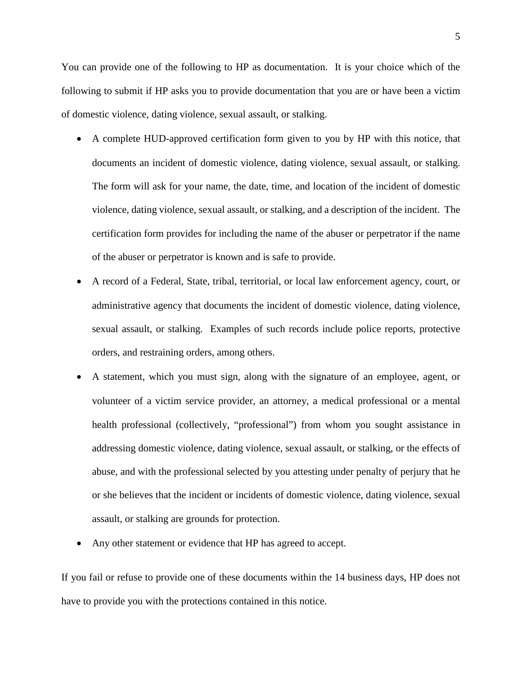You can provide one of the following to HP as documentation. It is your choice which of the following to submit if HP asks you to provide documentation that you are or have been a victim of domestic violence, dating violence, sexual assault, or stalking.

- A complete HUD-approved certification form given to you by HP with this notice, that documents an incident of domestic violence, dating violence, sexual assault, or stalking. The form will ask for your name, the date, time, and location of the incident of domestic violence, dating violence, sexual assault, or stalking, and a description of the incident. The certification form provides for including the name of the abuser or perpetrator if the name of the abuser or perpetrator is known and is safe to provide.
- A record of a Federal, State, tribal, territorial, or local law enforcement agency, court, or administrative agency that documents the incident of domestic violence, dating violence, sexual assault, or stalking. Examples of such records include police reports, protective orders, and restraining orders, among others.
- A statement, which you must sign, along with the signature of an employee, agent, or volunteer of a victim service provider, an attorney, a medical professional or a mental health professional (collectively, "professional") from whom you sought assistance in addressing domestic violence, dating violence, sexual assault, or stalking, or the effects of abuse, and with the professional selected by you attesting under penalty of perjury that he or she believes that the incident or incidents of domestic violence, dating violence, sexual assault, or stalking are grounds for protection.
- Any other statement or evidence that HP has agreed to accept.

If you fail or refuse to provide one of these documents within the 14 business days, HP does not have to provide you with the protections contained in this notice.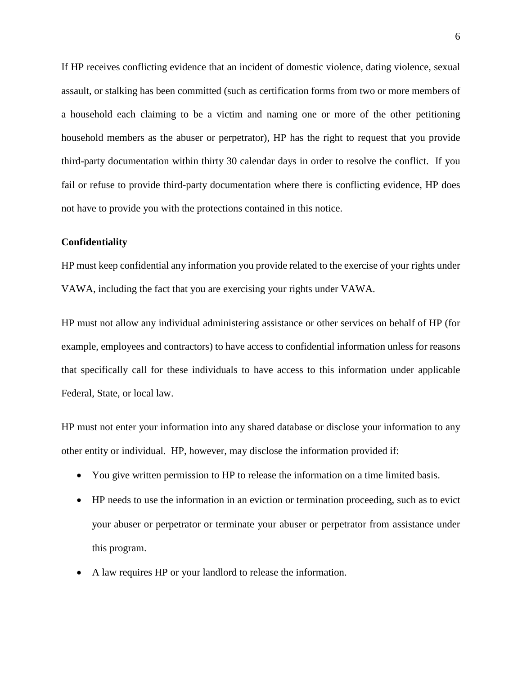If HP receives conflicting evidence that an incident of domestic violence, dating violence, sexual assault, or stalking has been committed (such as certification forms from two or more members of a household each claiming to be a victim and naming one or more of the other petitioning household members as the abuser or perpetrator), HP has the right to request that you provide third-party documentation within thirty 30 calendar days in order to resolve the conflict. If you fail or refuse to provide third-party documentation where there is conflicting evidence, HP does not have to provide you with the protections contained in this notice.

#### **Confidentiality**

HP must keep confidential any information you provide related to the exercise of your rights under VAWA, including the fact that you are exercising your rights under VAWA.

HP must not allow any individual administering assistance or other services on behalf of HP (for example, employees and contractors) to have access to confidential information unless for reasons that specifically call for these individuals to have access to this information under applicable Federal, State, or local law.

HP must not enter your information into any shared database or disclose your information to any other entity or individual. HP, however, may disclose the information provided if:

- You give written permission to HP to release the information on a time limited basis.
- HP needs to use the information in an eviction or termination proceeding, such as to evict your abuser or perpetrator or terminate your abuser or perpetrator from assistance under this program.
- A law requires HP or your landlord to release the information.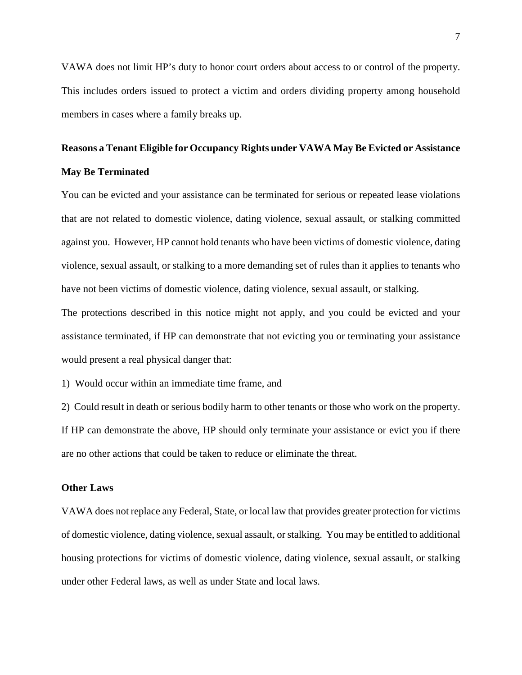VAWA does not limit HP's duty to honor court orders about access to or control of the property. This includes orders issued to protect a victim and orders dividing property among household members in cases where a family breaks up.

# **Reasons a Tenant Eligible for Occupancy Rights under VAWA May Be Evicted or Assistance May Be Terminated**

You can be evicted and your assistance can be terminated for serious or repeated lease violations that are not related to domestic violence, dating violence, sexual assault, or stalking committed against you. However, HP cannot hold tenants who have been victims of domestic violence, dating violence, sexual assault, or stalking to a more demanding set of rules than it applies to tenants who have not been victims of domestic violence, dating violence, sexual assault, or stalking.

The protections described in this notice might not apply, and you could be evicted and your assistance terminated, if HP can demonstrate that not evicting you or terminating your assistance would present a real physical danger that:

1) Would occur within an immediate time frame, and

2) Could result in death or serious bodily harm to other tenants or those who work on the property. If HP can demonstrate the above, HP should only terminate your assistance or evict you if there are no other actions that could be taken to reduce or eliminate the threat.

#### **Other Laws**

VAWA does not replace any Federal, State, or local law that provides greater protection for victims of domestic violence, dating violence, sexual assault, or stalking. You may be entitled to additional housing protections for victims of domestic violence, dating violence, sexual assault, or stalking under other Federal laws, as well as under State and local laws.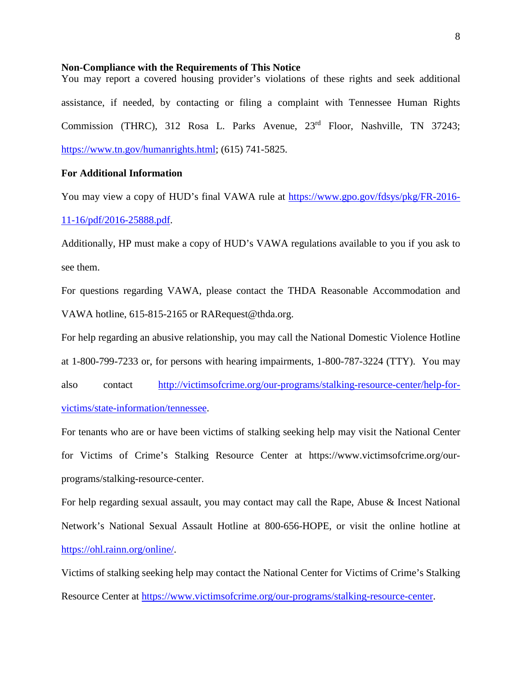#### **Non-Compliance with the Requirements of This Notice**

You may report a covered housing provider's violations of these rights and seek additional assistance, if needed, by contacting or filing a complaint with Tennessee Human Rights Commission (THRC), 312 Rosa L. Parks Avenue, 23<sup>rd</sup> Floor, Nashville, TN 37243; [https://www.tn.gov/humanrights.html;](https://www.tn.gov/humanrights.html) (615) 741-5825.

#### **For Additional Information**

You may view a copy of HUD's final VAWA rule at [https://www.gpo.gov/fdsys/pkg/FR-2016-](https://www.gpo.gov/fdsys/pkg/FR-2016-11-16/pdf/2016-25888.pdf) [11-16/pdf/2016-25888.pdf.](https://www.gpo.gov/fdsys/pkg/FR-2016-11-16/pdf/2016-25888.pdf)

Additionally, HP must make a copy of HUD's VAWA regulations available to you if you ask to see them.

For questions regarding VAWA, please contact the THDA Reasonable Accommodation and VAWA hotline, 615-815-2165 or RARequest@thda.org.

For help regarding an abusive relationship, you may call the National Domestic Violence Hotline

at 1-800-799-7233 or, for persons with hearing impairments, 1-800-787-3224 (TTY). You may

also contact [http://victimsofcrime.org/our-programs/stalking-resource-center/help-for](http://victimsofcrime.org/our-programs/stalking-resource-center/help-for-victims/state-information/tennessee)[victims/state-information/tennessee.](http://victimsofcrime.org/our-programs/stalking-resource-center/help-for-victims/state-information/tennessee)

For tenants who are or have been victims of stalking seeking help may visit the National Center for Victims of Crime's Stalking Resource Center at https://www.victimsofcrime.org/ourprograms/stalking-resource-center.

For help regarding sexual assault, you may contact may call the Rape, Abuse & Incest National Network's National Sexual Assault Hotline at 800-656-HOPE, or visit the online hotline at [https://ohl.rainn.org/online/.](https://ohl.rainn.org/online/)

Victims of stalking seeking help may contact the National Center for Victims of Crime's Stalking Resource Center at [https://www.victimsofcrime.org/our-programs/stalking-resource-center.](https://www.victimsofcrime.org/our-programs/stalking-resource-center)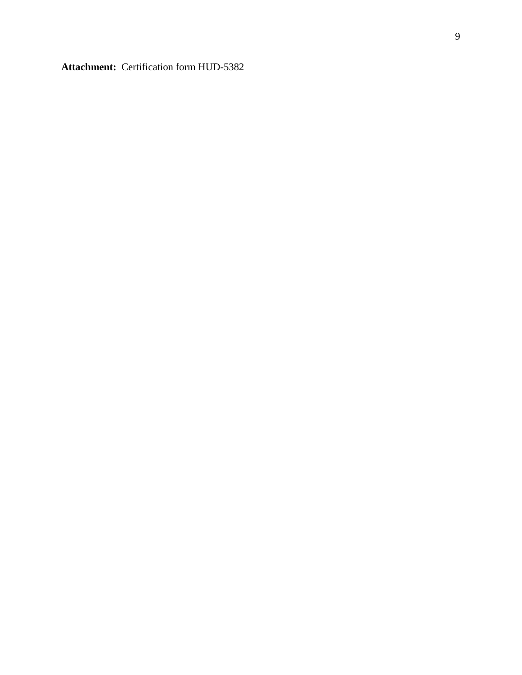**Attachment:** Certification form HUD-5382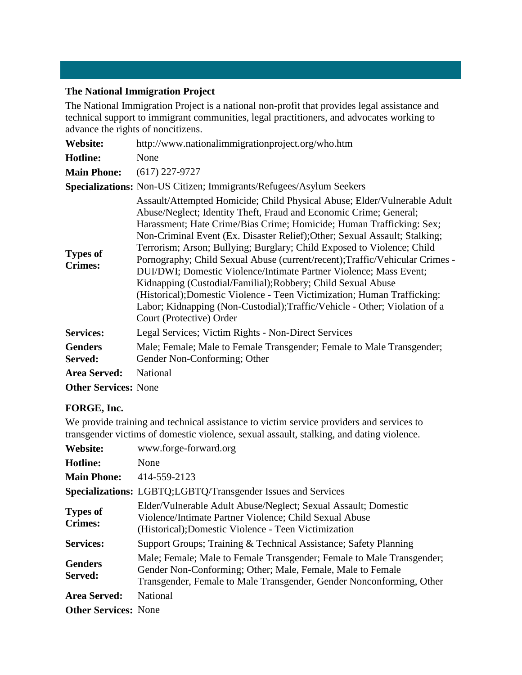# **The National Immigration Project**

The National Immigration Project is a national non-profit that provides legal assistance and technical support to immigrant communities, legal practitioners, and advocates working to advance the rights of noncitizens.

| Website:                          | http://www.nationalimmigrationproject.org/who.htm                                                                                                                                                                                                                                                                                                                                                                                                                                                                                                                                                                                                                                                                                                                                        |  |
|-----------------------------------|------------------------------------------------------------------------------------------------------------------------------------------------------------------------------------------------------------------------------------------------------------------------------------------------------------------------------------------------------------------------------------------------------------------------------------------------------------------------------------------------------------------------------------------------------------------------------------------------------------------------------------------------------------------------------------------------------------------------------------------------------------------------------------------|--|
| <b>Hotline:</b>                   | None                                                                                                                                                                                                                                                                                                                                                                                                                                                                                                                                                                                                                                                                                                                                                                                     |  |
| <b>Main Phone:</b>                | $(617)$ 227-9727                                                                                                                                                                                                                                                                                                                                                                                                                                                                                                                                                                                                                                                                                                                                                                         |  |
|                                   | Specializations: Non-US Citizen; Immigrants/Refugees/Asylum Seekers                                                                                                                                                                                                                                                                                                                                                                                                                                                                                                                                                                                                                                                                                                                      |  |
| <b>Types of</b><br><b>Crimes:</b> | Assault/Attempted Homicide; Child Physical Abuse; Elder/Vulnerable Adult<br>Abuse/Neglect; Identity Theft, Fraud and Economic Crime; General;<br>Harassment; Hate Crime/Bias Crime; Homicide; Human Trafficking: Sex;<br>Non-Criminal Event (Ex. Disaster Relief); Other; Sexual Assault; Stalking;<br>Terrorism; Arson; Bullying; Burglary; Child Exposed to Violence; Child<br>Pornography; Child Sexual Abuse (current/recent); Traffic/Vehicular Crimes -<br>DUI/DWI; Domestic Violence/Intimate Partner Violence; Mass Event;<br>Kidnapping (Custodial/Familial); Robbery; Child Sexual Abuse<br>(Historical); Domestic Violence - Teen Victimization; Human Trafficking:<br>Labor; Kidnapping (Non-Custodial); Traffic/Vehicle - Other; Violation of a<br>Court (Protective) Order |  |
| <b>Services:</b>                  | Legal Services; Victim Rights - Non-Direct Services                                                                                                                                                                                                                                                                                                                                                                                                                                                                                                                                                                                                                                                                                                                                      |  |
| <b>Genders</b><br>Served:         | Male; Female; Male to Female Transgender; Female to Male Transgender;<br>Gender Non-Conforming; Other                                                                                                                                                                                                                                                                                                                                                                                                                                                                                                                                                                                                                                                                                    |  |
| <b>Area Served:</b>               | <b>National</b>                                                                                                                                                                                                                                                                                                                                                                                                                                                                                                                                                                                                                                                                                                                                                                          |  |
| <b>Other Services: None</b>       |                                                                                                                                                                                                                                                                                                                                                                                                                                                                                                                                                                                                                                                                                                                                                                                          |  |

# **FORGE, Inc.**

We provide training and technical assistance to victim service providers and services to transgender victims of domestic violence, sexual assault, stalking, and dating violence.

| Website:                          | www.forge-forward.org                                                                                                                                                                                       |  |
|-----------------------------------|-------------------------------------------------------------------------------------------------------------------------------------------------------------------------------------------------------------|--|
| <b>Hotline:</b>                   | None                                                                                                                                                                                                        |  |
| <b>Main Phone:</b>                | 414-559-2123                                                                                                                                                                                                |  |
|                                   | <b>Specializations:</b> LGBTQ;LGBTQ/Transgender Issues and Services                                                                                                                                         |  |
| <b>Types of</b><br><b>Crimes:</b> | Elder/Vulnerable Adult Abuse/Neglect; Sexual Assault; Domestic<br>Violence/Intimate Partner Violence; Child Sexual Abuse<br>(Historical); Domestic Violence - Teen Victimization                            |  |
| <b>Services:</b>                  | Support Groups; Training & Technical Assistance; Safety Planning                                                                                                                                            |  |
| <b>Genders</b><br>Served:         | Male; Female; Male to Female Transgender; Female to Male Transgender;<br>Gender Non-Conforming; Other; Male, Female, Male to Female<br>Transgender, Female to Male Transgender, Gender Nonconforming, Other |  |
| <b>Area Served:</b>               | <b>National</b>                                                                                                                                                                                             |  |
| <b>Other Services: None</b>       |                                                                                                                                                                                                             |  |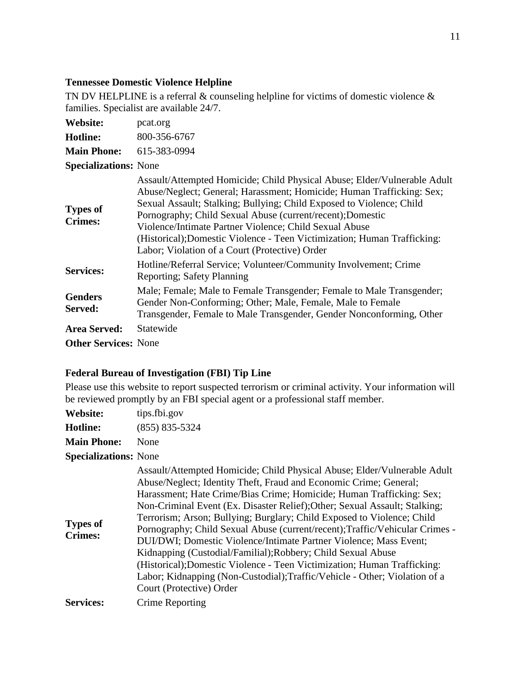# **Tennessee Domestic Violence Helpline**

TN DV HELPLINE is a referral & counseling helpline for victims of domestic violence & families. Specialist are available 24/7.

| Website:                          | pcat.org                                                                                                                                                                                                                                                                                                                                                                                                                                                                        |  |
|-----------------------------------|---------------------------------------------------------------------------------------------------------------------------------------------------------------------------------------------------------------------------------------------------------------------------------------------------------------------------------------------------------------------------------------------------------------------------------------------------------------------------------|--|
| Hotline:                          | 800-356-6767                                                                                                                                                                                                                                                                                                                                                                                                                                                                    |  |
| <b>Main Phone:</b>                | 615-383-0994                                                                                                                                                                                                                                                                                                                                                                                                                                                                    |  |
| <b>Specializations: None</b>      |                                                                                                                                                                                                                                                                                                                                                                                                                                                                                 |  |
| <b>Types of</b><br><b>Crimes:</b> | Assault/Attempted Homicide; Child Physical Abuse; Elder/Vulnerable Adult<br>Abuse/Neglect; General; Harassment; Homicide; Human Trafficking: Sex;<br>Sexual Assault; Stalking; Bullying; Child Exposed to Violence; Child<br>Pornography; Child Sexual Abuse (current/recent); Domestic<br>Violence/Intimate Partner Violence; Child Sexual Abuse<br>(Historical); Domestic Violence - Teen Victimization; Human Trafficking:<br>Labor; Violation of a Court (Protective) Order |  |
| <b>Services:</b>                  | Hotline/Referral Service; Volunteer/Community Involvement; Crime<br><b>Reporting</b> ; Safety Planning                                                                                                                                                                                                                                                                                                                                                                          |  |
| <b>Genders</b><br>Served:         | Male; Female; Male to Female Transgender; Female to Male Transgender;<br>Gender Non-Conforming; Other; Male, Female, Male to Female<br>Transgender, Female to Male Transgender, Gender Nonconforming, Other                                                                                                                                                                                                                                                                     |  |
| <b>Area Served:</b>               | Statewide                                                                                                                                                                                                                                                                                                                                                                                                                                                                       |  |
| <b>Other Services: None</b>       |                                                                                                                                                                                                                                                                                                                                                                                                                                                                                 |  |

# **Federal Bureau of Investigation (FBI) Tip Line**

Please use this website to report suspected terrorism or criminal activity. Your information will be reviewed promptly by an FBI special agent or a professional staff member.

| Website:           | tips.fbi.gov       |
|--------------------|--------------------|
| Hotline:           | $(855) 835 - 5324$ |
| <b>Main Phone:</b> | None               |

**Specializations:** None

| <b>Types of</b><br><b>Crimes:</b> | Assault/Attempted Homicide; Child Physical Abuse; Elder/Vulnerable Adult<br>Abuse/Neglect; Identity Theft, Fraud and Economic Crime; General;<br>Harassment; Hate Crime/Bias Crime; Homicide; Human Trafficking: Sex;<br>Non-Criminal Event (Ex. Disaster Relief); Other; Sexual Assault; Stalking;<br>Terrorism; Arson; Bullying; Burglary; Child Exposed to Violence; Child<br>Pornography; Child Sexual Abuse (current/recent); Traffic/Vehicular Crimes -<br>DUI/DWI; Domestic Violence/Intimate Partner Violence; Mass Event;<br>Kidnapping (Custodial/Familial); Robbery; Child Sexual Abuse<br>(Historical); Domestic Violence - Teen Victimization; Human Trafficking:<br>Labor; Kidnapping (Non-Custodial); Traffic/Vehicle - Other; Violation of a<br>Court (Protective) Order |
|-----------------------------------|------------------------------------------------------------------------------------------------------------------------------------------------------------------------------------------------------------------------------------------------------------------------------------------------------------------------------------------------------------------------------------------------------------------------------------------------------------------------------------------------------------------------------------------------------------------------------------------------------------------------------------------------------------------------------------------------------------------------------------------------------------------------------------------|
| <b>Services:</b>                  | Crime Reporting                                                                                                                                                                                                                                                                                                                                                                                                                                                                                                                                                                                                                                                                                                                                                                          |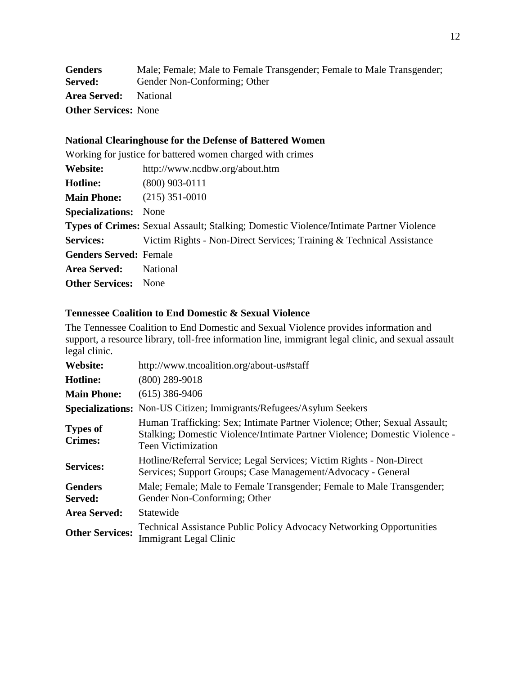| <b>Genders</b>               | Male; Female; Male to Female Transgender; Female to Male Transgender; |
|------------------------------|-----------------------------------------------------------------------|
| <b>Served:</b>               | Gender Non-Conforming; Other                                          |
| <b>Area Served:</b> National |                                                                       |
| <b>Other Services: None</b>  |                                                                       |

# **National Clearinghouse for the Defense of Battered Women**

|                                   | Working for justice for battered women charged with crimes                                    |  |
|-----------------------------------|-----------------------------------------------------------------------------------------------|--|
| Website:                          | http://www.ncdbw.org/about.htm                                                                |  |
| Hotline:                          | $(800)$ 903-0111                                                                              |  |
| <b>Main Phone:</b> (215) 351-0010 |                                                                                               |  |
| <b>Specializations:</b> None      |                                                                                               |  |
|                                   | <b>Types of Crimes:</b> Sexual Assault; Stalking; Domestic Violence/Intimate Partner Violence |  |
| <b>Services:</b>                  | Victim Rights - Non-Direct Services; Training & Technical Assistance                          |  |
| <b>Genders Served: Female</b>     |                                                                                               |  |
| <b>Area Served:</b>               | National                                                                                      |  |
| <b>Other Services:</b> None       |                                                                                               |  |

#### **Tennessee Coalition to End Domestic & Sexual Violence**

The Tennessee Coalition to End Domestic and Sexual Violence provides information and support, a resource library, toll-free information line, immigrant legal clinic, and sexual assault legal clinic.

| http://www.tncoalition.org/about-us#staff                                                                                                                                            |  |
|--------------------------------------------------------------------------------------------------------------------------------------------------------------------------------------|--|
| $(800)$ 289-9018                                                                                                                                                                     |  |
| $(615)$ 386-9406                                                                                                                                                                     |  |
| <b>Specializations:</b> Non-US Citizen; Immigrants/Refugees/Asylum Seekers                                                                                                           |  |
| Human Trafficking: Sex; Intimate Partner Violence; Other; Sexual Assault;<br>Stalking; Domestic Violence/Intimate Partner Violence; Domestic Violence -<br><b>Teen Victimization</b> |  |
| Hotline/Referral Service; Legal Services; Victim Rights - Non-Direct<br>Services; Support Groups; Case Management/Advocacy - General                                                 |  |
| Male; Female; Male to Female Transgender; Female to Male Transgender;<br>Gender Non-Conforming; Other                                                                                |  |
| Statewide                                                                                                                                                                            |  |
| <b>Technical Assistance Public Policy Advocacy Networking Opportunities</b><br><b>Immigrant Legal Clinic</b>                                                                         |  |
|                                                                                                                                                                                      |  |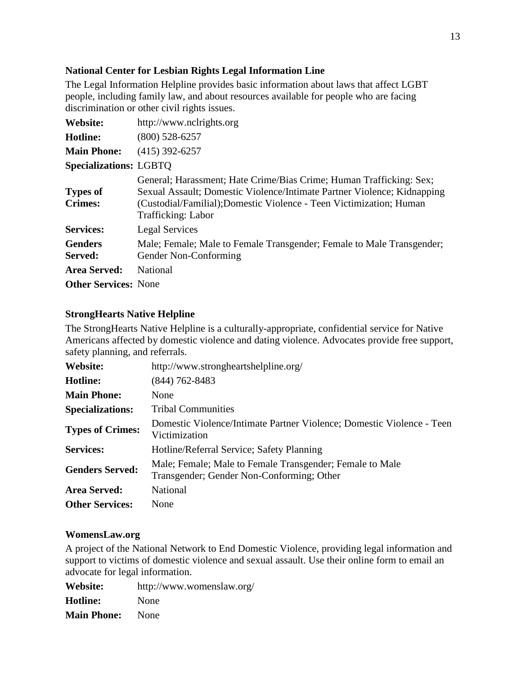# **National Center for Lesbian Rights Legal Information Line**

The Legal Information Helpline provides basic information about laws that affect LGBT people, including family law, and about resources available for people who are facing discrimination or other civil rights issues.

| Website:                          | http://www.nclrights.org                                                                                                                                                                                                                   |  |
|-----------------------------------|--------------------------------------------------------------------------------------------------------------------------------------------------------------------------------------------------------------------------------------------|--|
| <b>Hotline:</b>                   | $(800)$ 528-6257                                                                                                                                                                                                                           |  |
| <b>Main Phone:</b>                | $(415)$ 392-6257                                                                                                                                                                                                                           |  |
| <b>Specializations: LGBTQ</b>     |                                                                                                                                                                                                                                            |  |
| <b>Types of</b><br><b>Crimes:</b> | General; Harassment; Hate Crime/Bias Crime; Human Trafficking: Sex;<br>Sexual Assault; Domestic Violence/Intimate Partner Violence; Kidnapping<br>(Custodial/Familial);Domestic Violence - Teen Victimization; Human<br>Trafficking: Labor |  |
| <b>Services:</b>                  | <b>Legal Services</b>                                                                                                                                                                                                                      |  |
| <b>Genders</b><br>Served:         | Male; Female; Male to Female Transgender; Female to Male Transgender;<br>Gender Non-Conforming                                                                                                                                             |  |
| <b>Area Served:</b>               | <b>National</b>                                                                                                                                                                                                                            |  |
| <b>Other Services: None</b>       |                                                                                                                                                                                                                                            |  |

# **StrongHearts Native Helpline**

The StrongHearts Native Helpline is a culturally-appropriate, confidential service for Native Americans affected by domestic violence and dating violence. Advocates provide free support, safety planning, and referrals.

| Website:                | http://www.strongheartshelpline.org/                                                                  |  |
|-------------------------|-------------------------------------------------------------------------------------------------------|--|
| Hotline:                | (844) 762-8483                                                                                        |  |
| <b>Main Phone:</b>      | None                                                                                                  |  |
| <b>Specializations:</b> | <b>Tribal Communities</b>                                                                             |  |
| <b>Types of Crimes:</b> | Domestic Violence/Intimate Partner Violence; Domestic Violence - Teen<br>Victimization                |  |
| <b>Services:</b>        | Hotline/Referral Service; Safety Planning                                                             |  |
| <b>Genders Served:</b>  | Male; Female; Male to Female Transgender; Female to Male<br>Transgender; Gender Non-Conforming; Other |  |
| <b>Area Served:</b>     | National                                                                                              |  |
| <b>Other Services:</b>  | None                                                                                                  |  |

# **WomensLaw.org**

A project of the National Network to End Domestic Violence, providing legal information and support to victims of domestic violence and sexual assault. Use their online form to email an advocate for legal information.

| Website:           | http://www.womenslaw.org/ |
|--------------------|---------------------------|
| <b>Hotline:</b>    | None                      |
| <b>Main Phone:</b> | None                      |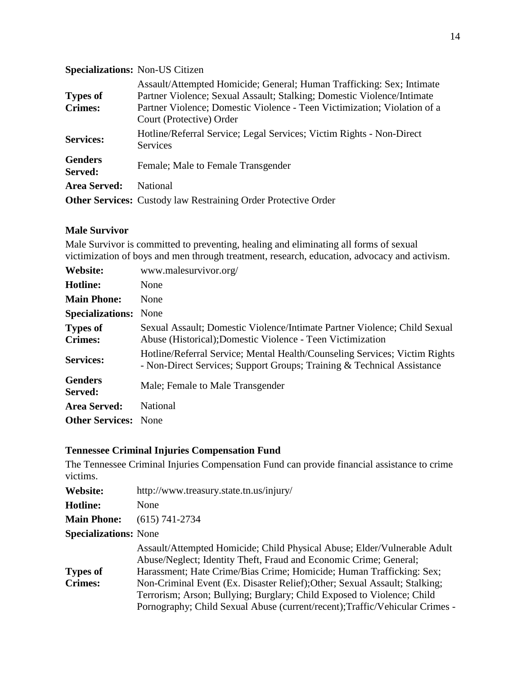| <b>Types of</b><br><b>Crimes:</b> | Assault/Attempted Homicide; General; Human Trafficking: Sex; Intimate<br>Partner Violence; Sexual Assault; Stalking; Domestic Violence/Intimate<br>Partner Violence; Domestic Violence - Teen Victimization; Violation of a<br>Court (Protective) Order |
|-----------------------------------|---------------------------------------------------------------------------------------------------------------------------------------------------------------------------------------------------------------------------------------------------------|
| <b>Services:</b>                  | Hotline/Referral Service; Legal Services; Victim Rights - Non-Direct<br><b>Services</b>                                                                                                                                                                 |
| <b>Genders</b><br>Served:         | Female; Male to Female Transgender                                                                                                                                                                                                                      |
| <b>Area Served:</b>               | <b>National</b>                                                                                                                                                                                                                                         |
|                                   | <b>Other Services:</b> Custody law Restraining Order Protective Order                                                                                                                                                                                   |
|                                   |                                                                                                                                                                                                                                                         |

#### **Male Survivor**

**Specializations:** Non-US Citizen

Male Survivor is committed to preventing, healing and eliminating all forms of sexual victimization of boys and men through treatment, research, education, advocacy and activism.

| Website:                          | www.malesurvivor.org/                                                                                                                                |  |
|-----------------------------------|------------------------------------------------------------------------------------------------------------------------------------------------------|--|
| <b>Hotline:</b>                   | None                                                                                                                                                 |  |
| <b>Main Phone:</b>                | None                                                                                                                                                 |  |
| <b>Specializations:</b> None      |                                                                                                                                                      |  |
| <b>Types of</b><br><b>Crimes:</b> | Sexual Assault; Domestic Violence/Intimate Partner Violence; Child Sexual<br>Abuse (Historical); Domestic Violence - Teen Victimization              |  |
| <b>Services:</b>                  | Hotline/Referral Service; Mental Health/Counseling Services; Victim Rights<br>- Non-Direct Services; Support Groups; Training & Technical Assistance |  |
| <b>Genders</b><br>Served:         | Male; Female to Male Transgender                                                                                                                     |  |
| <b>Area Served:</b>               | National                                                                                                                                             |  |
| <b>Other Services:</b> None       |                                                                                                                                                      |  |

### **Tennessee Criminal Injuries Compensation Fund**

The Tennessee Criminal Injuries Compensation Fund can provide financial assistance to crime victims.

| Website:                          | http://www.treasury.state.tn.us/injury/                                                                                                                                                                                                                                                                                                                                                                                                                       |  |
|-----------------------------------|---------------------------------------------------------------------------------------------------------------------------------------------------------------------------------------------------------------------------------------------------------------------------------------------------------------------------------------------------------------------------------------------------------------------------------------------------------------|--|
| Hotline:                          | None                                                                                                                                                                                                                                                                                                                                                                                                                                                          |  |
| <b>Main Phone:</b>                | $(615) 741 - 2734$                                                                                                                                                                                                                                                                                                                                                                                                                                            |  |
| <b>Specializations: None</b>      |                                                                                                                                                                                                                                                                                                                                                                                                                                                               |  |
| <b>Types of</b><br><b>Crimes:</b> | Assault/Attempted Homicide; Child Physical Abuse; Elder/Vulnerable Adult<br>Abuse/Neglect; Identity Theft, Fraud and Economic Crime; General;<br>Harassment; Hate Crime/Bias Crime; Homicide; Human Trafficking: Sex;<br>Non-Criminal Event (Ex. Disaster Relief); Other; Sexual Assault; Stalking;<br>Terrorism; Arson; Bullying; Burglary; Child Exposed to Violence; Child<br>Pornography; Child Sexual Abuse (current/recent); Traffic/Vehicular Crimes - |  |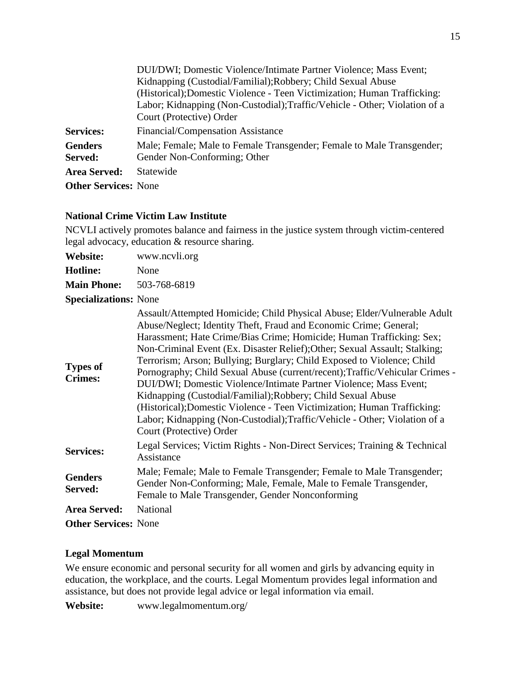|                             | DUI/DWI; Domestic Violence/Intimate Partner Violence; Mass Event;<br>Kidnapping (Custodial/Familial); Robbery; Child Sexual Abuse<br>(Historical); Domestic Violence - Teen Victimization; Human Trafficking:<br>Labor; Kidnapping (Non-Custodial); Traffic/Vehicle - Other; Violation of a<br>Court (Protective) Order |  |
|-----------------------------|-------------------------------------------------------------------------------------------------------------------------------------------------------------------------------------------------------------------------------------------------------------------------------------------------------------------------|--|
| <b>Services:</b>            | Financial/Compensation Assistance                                                                                                                                                                                                                                                                                       |  |
| <b>Genders</b><br>Served:   | Male; Female; Male to Female Transgender; Female to Male Transgender;<br>Gender Non-Conforming; Other                                                                                                                                                                                                                   |  |
| <b>Area Served:</b>         | Statewide                                                                                                                                                                                                                                                                                                               |  |
| <b>Other Services: None</b> |                                                                                                                                                                                                                                                                                                                         |  |

#### **National Crime Victim Law Institute**

NCVLI actively promotes balance and fairness in the justice system through victim-centered legal advocacy, education & resource sharing.

| Website:           | www.ncvli.org |
|--------------------|---------------|
| <b>Hotline:</b>    | None          |
| <b>Main Phone:</b> | 503-768-6819  |

**Specializations:** None

| <b>Types of</b><br><b>Crimes:</b> | Assault/Attempted Homicide; Child Physical Abuse; Elder/Vulnerable Adult<br>Abuse/Neglect; Identity Theft, Fraud and Economic Crime; General;<br>Harassment; Hate Crime/Bias Crime; Homicide; Human Trafficking: Sex;<br>Non-Criminal Event (Ex. Disaster Relief); Other; Sexual Assault; Stalking;<br>Terrorism; Arson; Bullying; Burglary; Child Exposed to Violence; Child<br>Pornography; Child Sexual Abuse (current/recent); Traffic/Vehicular Crimes -<br>DUI/DWI; Domestic Violence/Intimate Partner Violence; Mass Event;<br>Kidnapping (Custodial/Familial); Robbery; Child Sexual Abuse<br>(Historical); Domestic Violence - Teen Victimization; Human Trafficking:<br>Labor; Kidnapping (Non-Custodial); Traffic/Vehicle - Other; Violation of a<br>Court (Protective) Order |  |
|-----------------------------------|------------------------------------------------------------------------------------------------------------------------------------------------------------------------------------------------------------------------------------------------------------------------------------------------------------------------------------------------------------------------------------------------------------------------------------------------------------------------------------------------------------------------------------------------------------------------------------------------------------------------------------------------------------------------------------------------------------------------------------------------------------------------------------------|--|
| <b>Services:</b>                  | Legal Services; Victim Rights - Non-Direct Services; Training & Technical<br>Assistance                                                                                                                                                                                                                                                                                                                                                                                                                                                                                                                                                                                                                                                                                                  |  |
| <b>Genders</b><br>Served:         | Male; Female; Male to Female Transgender; Female to Male Transgender;<br>Gender Non-Conforming; Male, Female, Male to Female Transgender,<br>Female to Male Transgender, Gender Nonconforming                                                                                                                                                                                                                                                                                                                                                                                                                                                                                                                                                                                            |  |
| <b>Area Served:</b>               | National                                                                                                                                                                                                                                                                                                                                                                                                                                                                                                                                                                                                                                                                                                                                                                                 |  |
| <b>Other Services: None</b>       |                                                                                                                                                                                                                                                                                                                                                                                                                                                                                                                                                                                                                                                                                                                                                                                          |  |

#### **Legal Momentum**

We ensure economic and personal security for all women and girls by advancing equity in education, the workplace, and the courts. Legal Momentum provides legal information and assistance, but does not provide legal advice or legal information via email.

**Website:** www.legalmomentum.org/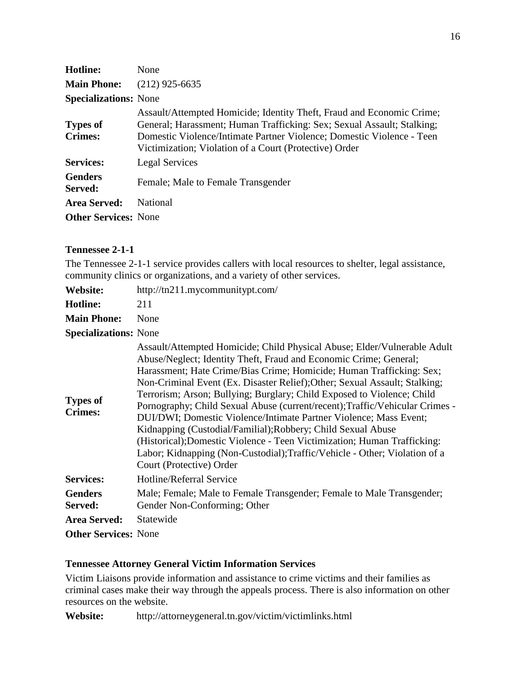| <b>Hotline:</b>                   | None                                                                                                                                                                                                                                                                               |  |
|-----------------------------------|------------------------------------------------------------------------------------------------------------------------------------------------------------------------------------------------------------------------------------------------------------------------------------|--|
| <b>Main Phone:</b>                | $(212)$ 925-6635                                                                                                                                                                                                                                                                   |  |
| <b>Specializations: None</b>      |                                                                                                                                                                                                                                                                                    |  |
| <b>Types of</b><br><b>Crimes:</b> | Assault/Attempted Homicide; Identity Theft, Fraud and Economic Crime;<br>General; Harassment; Human Trafficking: Sex; Sexual Assault; Stalking;<br>Domestic Violence/Intimate Partner Violence; Domestic Violence - Teen<br>Victimization; Violation of a Court (Protective) Order |  |
| <b>Services:</b>                  | <b>Legal Services</b>                                                                                                                                                                                                                                                              |  |
| <b>Genders</b><br>Served:         | Female; Male to Female Transgender                                                                                                                                                                                                                                                 |  |
| Area Served:                      | National                                                                                                                                                                                                                                                                           |  |
| <b>Other Services: None</b>       |                                                                                                                                                                                                                                                                                    |  |

### **Tennessee 2-1-1**

The Tennessee 2-1-1 service provides callers with local resources to shelter, legal assistance, community clinics or organizations, and a variety of other services.

| Website:                     | http://tn211.mycommunitypt.com/ |
|------------------------------|---------------------------------|
| <b>Hotline:</b>              | 211                             |
| <b>Main Phone:</b> None      |                                 |
| <b>Specializations:</b> None |                                 |

| <b>Types of</b><br><b>Crimes:</b> | Assault/Attempted Homicide; Child Physical Abuse; Elder/Vulnerable Adult<br>Abuse/Neglect; Identity Theft, Fraud and Economic Crime; General;<br>Harassment; Hate Crime/Bias Crime; Homicide; Human Trafficking: Sex;<br>Non-Criminal Event (Ex. Disaster Relief); Other; Sexual Assault; Stalking;<br>Terrorism; Arson; Bullying; Burglary; Child Exposed to Violence; Child<br>Pornography; Child Sexual Abuse (current/recent); Traffic/Vehicular Crimes -<br>DUI/DWI; Domestic Violence/Intimate Partner Violence; Mass Event;<br>Kidnapping (Custodial/Familial); Robbery; Child Sexual Abuse<br>(Historical); Domestic Violence - Teen Victimization; Human Trafficking:<br>Labor; Kidnapping (Non-Custodial); Traffic/Vehicle - Other; Violation of a<br>Court (Protective) Order |  |
|-----------------------------------|------------------------------------------------------------------------------------------------------------------------------------------------------------------------------------------------------------------------------------------------------------------------------------------------------------------------------------------------------------------------------------------------------------------------------------------------------------------------------------------------------------------------------------------------------------------------------------------------------------------------------------------------------------------------------------------------------------------------------------------------------------------------------------------|--|
| <b>Services:</b>                  | Hotline/Referral Service                                                                                                                                                                                                                                                                                                                                                                                                                                                                                                                                                                                                                                                                                                                                                                 |  |
| <b>Genders</b><br>Served:         | Male; Female; Male to Female Transgender; Female to Male Transgender;<br>Gender Non-Conforming; Other                                                                                                                                                                                                                                                                                                                                                                                                                                                                                                                                                                                                                                                                                    |  |
| <b>Area Served:</b>               | Statewide                                                                                                                                                                                                                                                                                                                                                                                                                                                                                                                                                                                                                                                                                                                                                                                |  |
| <b>Other Services: None</b>       |                                                                                                                                                                                                                                                                                                                                                                                                                                                                                                                                                                                                                                                                                                                                                                                          |  |

# **Tennessee Attorney General Victim Information Services**

Victim Liaisons provide information and assistance to crime victims and their families as criminal cases make their way through the appeals process. There is also information on other resources on the website.

**Website:** http://attorneygeneral.tn.gov/victim/victimlinks.html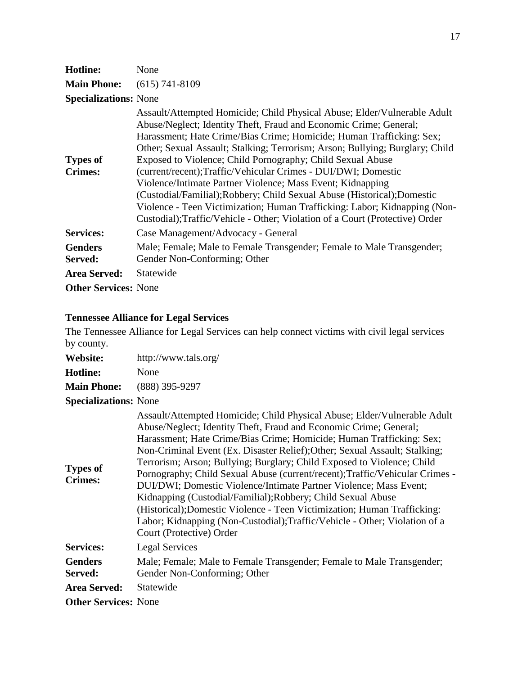# **Hotline:** None **Main Phone:** (615) 741-8109 **Specializations:** None

| <b>Types of</b><br><b>Crimes:</b> | Assault/Attempted Homicide; Child Physical Abuse; Elder/Vulnerable Adult<br>Abuse/Neglect; Identity Theft, Fraud and Economic Crime; General;<br>Harassment; Hate Crime/Bias Crime; Homicide; Human Trafficking: Sex;<br>Other; Sexual Assault; Stalking; Terrorism; Arson; Bullying; Burglary; Child<br>Exposed to Violence; Child Pornography; Child Sexual Abuse<br>(current/recent);Traffic/Vehicular Crimes - DUI/DWI; Domestic<br>Violence/Intimate Partner Violence; Mass Event; Kidnapping<br>(Custodial/Familial); Robbery; Child Sexual Abuse (Historical); Domestic<br>Violence - Teen Victimization; Human Trafficking: Labor; Kidnapping (Non-<br>Custodial); Traffic/Vehicle - Other; Violation of a Court (Protective) Order |  |
|-----------------------------------|---------------------------------------------------------------------------------------------------------------------------------------------------------------------------------------------------------------------------------------------------------------------------------------------------------------------------------------------------------------------------------------------------------------------------------------------------------------------------------------------------------------------------------------------------------------------------------------------------------------------------------------------------------------------------------------------------------------------------------------------|--|
| <b>Services:</b>                  | Case Management/Advocacy - General                                                                                                                                                                                                                                                                                                                                                                                                                                                                                                                                                                                                                                                                                                          |  |
| <b>Genders</b><br>Served:         | Male; Female; Male to Female Transgender; Female to Male Transgender;<br>Gender Non-Conforming; Other                                                                                                                                                                                                                                                                                                                                                                                                                                                                                                                                                                                                                                       |  |
| <b>Area Served:</b>               | Statewide                                                                                                                                                                                                                                                                                                                                                                                                                                                                                                                                                                                                                                                                                                                                   |  |
| <b>Other Services: None</b>       |                                                                                                                                                                                                                                                                                                                                                                                                                                                                                                                                                                                                                                                                                                                                             |  |

# **Tennessee Alliance for Legal Services**

The Tennessee Alliance for Legal Services can help connect victims with civil legal services by county.

| <b>Website:</b> | http://www.tals.org/ |
|-----------------|----------------------|
|-----------------|----------------------|

| <b>Main Phone:</b> | $(888)$ 395-9297 |
|--------------------|------------------|
|--------------------|------------------|

# **Specializations:** None

| <b>Types of</b><br><b>Crimes:</b> | Assault/Attempted Homicide; Child Physical Abuse; Elder/Vulnerable Adult<br>Abuse/Neglect; Identity Theft, Fraud and Economic Crime; General;<br>Harassment; Hate Crime/Bias Crime; Homicide; Human Trafficking: Sex;<br>Non-Criminal Event (Ex. Disaster Relief); Other; Sexual Assault; Stalking;<br>Terrorism; Arson; Bullying; Burglary; Child Exposed to Violence; Child<br>Pornography; Child Sexual Abuse (current/recent); Traffic/Vehicular Crimes -<br>DUI/DWI; Domestic Violence/Intimate Partner Violence; Mass Event;<br>Kidnapping (Custodial/Familial); Robbery; Child Sexual Abuse<br>(Historical); Domestic Violence - Teen Victimization; Human Trafficking:<br>Labor; Kidnapping (Non-Custodial); Traffic/Vehicle - Other; Violation of a<br>Court (Protective) Order |
|-----------------------------------|------------------------------------------------------------------------------------------------------------------------------------------------------------------------------------------------------------------------------------------------------------------------------------------------------------------------------------------------------------------------------------------------------------------------------------------------------------------------------------------------------------------------------------------------------------------------------------------------------------------------------------------------------------------------------------------------------------------------------------------------------------------------------------------|
| <b>Services:</b>                  | Legal Services                                                                                                                                                                                                                                                                                                                                                                                                                                                                                                                                                                                                                                                                                                                                                                           |
| <b>Genders</b><br>Served:         | Male; Female; Male to Female Transgender; Female to Male Transgender;<br>Gender Non-Conforming; Other                                                                                                                                                                                                                                                                                                                                                                                                                                                                                                                                                                                                                                                                                    |
| <b>Area Served:</b>               | Statewide                                                                                                                                                                                                                                                                                                                                                                                                                                                                                                                                                                                                                                                                                                                                                                                |
| <b>Other Services: None</b>       |                                                                                                                                                                                                                                                                                                                                                                                                                                                                                                                                                                                                                                                                                                                                                                                          |